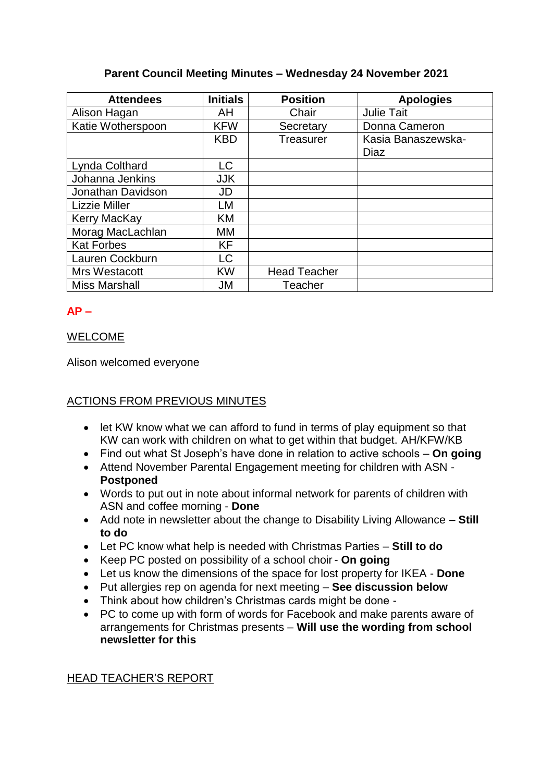### **Parent Council Meeting Minutes – Wednesday 24 November 2021**

| <b>Attendees</b>     | <b>Initials</b> | <b>Position</b>     | <b>Apologies</b>           |
|----------------------|-----------------|---------------------|----------------------------|
| Alison Hagan         | AH              | Chair               | <b>Julie Tait</b>          |
| Katie Wotherspoon    | <b>KFW</b>      | Secretary           | Donna Cameron              |
|                      | <b>KBD</b>      | <b>Treasurer</b>    | Kasia Banaszewska-<br>Diaz |
| Lynda Colthard       | LC              |                     |                            |
| Johanna Jenkins      | <b>JJK</b>      |                     |                            |
| Jonathan Davidson    | JD              |                     |                            |
| <b>Lizzie Miller</b> | LM              |                     |                            |
| Kerry MacKay         | <b>KM</b>       |                     |                            |
| Morag MacLachlan     | MМ              |                     |                            |
| <b>Kat Forbes</b>    | KF              |                     |                            |
| Lauren Cockburn      | LC              |                     |                            |
| Mrs Westacott        | <b>KW</b>       | <b>Head Teacher</b> |                            |
| <b>Miss Marshall</b> | JM              | Teacher             |                            |

# **AP –**

## WELCOME

Alison welcomed everyone

# ACTIONS FROM PREVIOUS MINUTES

- let KW know what we can afford to fund in terms of play equipment so that KW can work with children on what to get within that budget. AH/KFW/KB
- Find out what St Joseph's have done in relation to active schools **On going**
- Attend November Parental Engagement meeting for children with ASN **Postponed**
- Words to put out in note about informal network for parents of children with ASN and coffee morning - **Done**
- Add note in newsletter about the change to Disability Living Allowance **Still to do**
- Let PC know what help is needed with Christmas Parties **Still to do**
- Keep PC posted on possibility of a school choir **On going**
- Let us know the dimensions of the space for lost property for IKEA **Done**
- Put allergies rep on agenda for next meeting **See discussion below**
- Think about how children's Christmas cards might be done -
- PC to come up with form of words for Facebook and make parents aware of arrangements for Christmas presents – **Will use the wording from school newsletter for this**

### HEAD TEACHER'S REPORT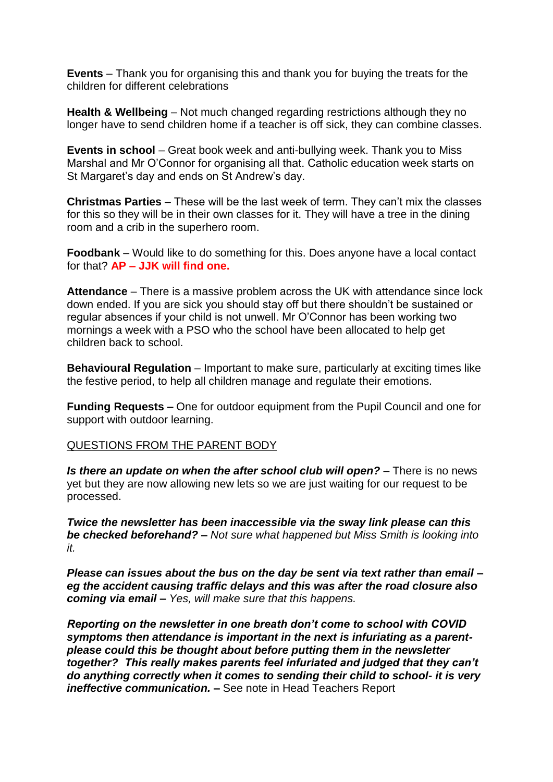**Events** – Thank you for organising this and thank you for buying the treats for the children for different celebrations

**Health & Wellbeing** – Not much changed regarding restrictions although they no longer have to send children home if a teacher is off sick, they can combine classes.

**Events in school** *–* Great book week and anti-bullying week. Thank you to Miss Marshal and Mr O'Connor for organising all that. Catholic education week starts on St Margaret's day and ends on St Andrew's day.

**Christmas Parties** *–* These will be the last week of term. They can't mix the classes for this so they will be in their own classes for it. They will have a tree in the dining room and a crib in the superhero room.

**Foodbank** *–* Would like to do something for this. Does anyone have a local contact for that? **AP – JJK will find one.**

**Attendance** *–* There is a massive problem across the UK with attendance since lock down ended. If you are sick you should stay off but there shouldn't be sustained or regular absences if your child is not unwell. Mr O'Connor has been working two mornings a week with a PSO who the school have been allocated to help get children back to school.

**Behavioural Regulation** *–* Important to make sure, particularly at exciting times like the festive period, to help all children manage and regulate their emotions.

**Funding Requests –** One for outdoor equipment from the Pupil Council and one for support with outdoor learning.

#### QUESTIONS FROM THE PARENT BODY

*Is there an update on when the after school club will open?* – There is no news yet but they are now allowing new lets so we are just waiting for our request to be processed.

*Twice the newsletter has been inaccessible via the sway link please can this be checked beforehand? – Not sure what happened but Miss Smith is looking into it.*

*Please can issues about the bus on the day be sent via text rather than email – eg the accident causing traffic delays and this was after the road closure also coming via email – Yes, will make sure that this happens.*

*Reporting on the newsletter in one breath don't come to school with COVID symptoms then attendance is important in the next is infuriating as a parentplease could this be thought about before putting them in the newsletter together? This really makes parents feel infuriated and judged that they can't do anything correctly when it comes to sending their child to school- it is very ineffective communication. –* See note in Head Teachers Report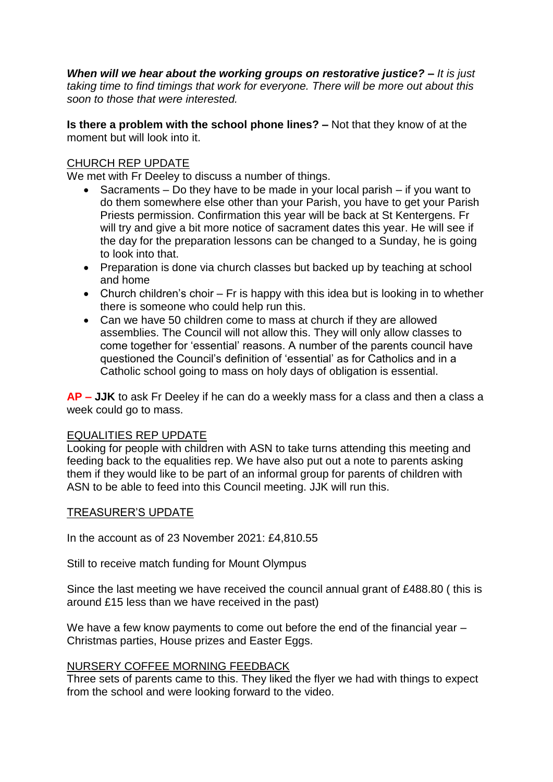*When will we hear about the working groups on restorative justice? – It is just taking time to find timings that work for everyone. There will be more out about this soon to those that were interested.*

**Is there a problem with the school phone lines? –** Not that they know of at the moment but will look into it.

# CHURCH REP UPDATE

We met with Fr Deeley to discuss a number of things.

- Sacraments Do they have to be made in your local parish if you want to do them somewhere else other than your Parish, you have to get your Parish Priests permission. Confirmation this year will be back at St Kentergens. Fr will try and give a bit more notice of sacrament dates this year. He will see if the day for the preparation lessons can be changed to a Sunday, he is going to look into that.
- Preparation is done via church classes but backed up by teaching at school and home
- Church children's choir Fr is happy with this idea but is looking in to whether there is someone who could help run this.
- Can we have 50 children come to mass at church if they are allowed assemblies. The Council will not allow this. They will only allow classes to come together for 'essential' reasons. A number of the parents council have questioned the Council's definition of 'essential' as for Catholics and in a Catholic school going to mass on holy days of obligation is essential.

**AP – JJK** to ask Fr Deeley if he can do a weekly mass for a class and then a class a week could go to mass.

### EQUALITIES REP UPDATE

Looking for people with children with ASN to take turns attending this meeting and feeding back to the equalities rep. We have also put out a note to parents asking them if they would like to be part of an informal group for parents of children with ASN to be able to feed into this Council meeting. JJK will run this.

#### TREASURER'S UPDATE

In the account as of 23 November 2021: £4,810.55

Still to receive match funding for Mount Olympus

Since the last meeting we have received the council annual grant of £488.80 ( this is around £15 less than we have received in the past)

We have a few know payments to come out before the end of the financial year – Christmas parties, House prizes and Easter Eggs.

#### NURSERY COFFEE MORNING FEEDBACK

Three sets of parents came to this. They liked the flyer we had with things to expect from the school and were looking forward to the video.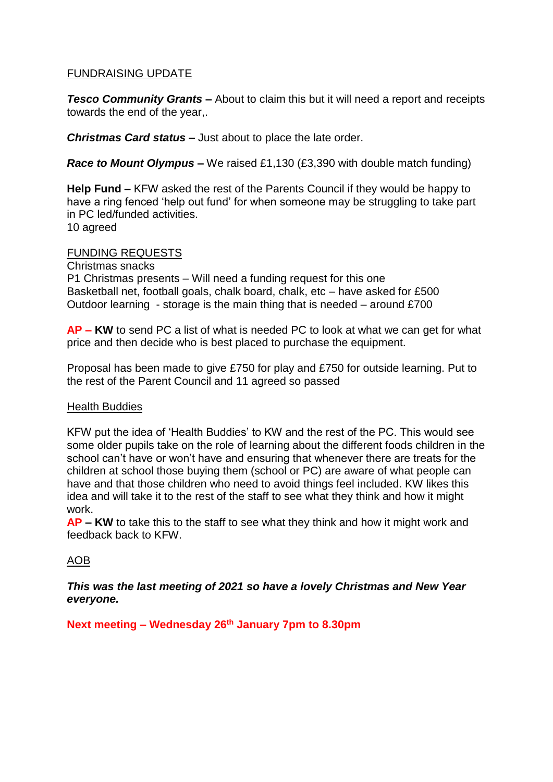# FUNDRAISING UPDATE

*Tesco Community Grants –* About to claim this but it will need a report and receipts towards the end of the year,.

*Christmas Card status –* Just about to place the late order.

*Race to Mount Olympus –* We raised £1,130 (£3,390 with double match funding)

**Help Fund –** KFW asked the rest of the Parents Council if they would be happy to have a ring fenced 'help out fund' for when someone may be struggling to take part in PC led/funded activities.

10 agreed

#### FUNDING REQUESTS

Christmas snacks

P1 Christmas presents – Will need a funding request for this one Basketball net, football goals, chalk board, chalk, etc – have asked for £500 Outdoor learning - storage is the main thing that is needed – around £700

**AP – KW** to send PC a list of what is needed PC to look at what we can get for what price and then decide who is best placed to purchase the equipment.

Proposal has been made to give £750 for play and £750 for outside learning. Put to the rest of the Parent Council and 11 agreed so passed

#### Health Buddies

KFW put the idea of 'Health Buddies' to KW and the rest of the PC. This would see some older pupils take on the role of learning about the different foods children in the school can't have or won't have and ensuring that whenever there are treats for the children at school those buying them (school or PC) are aware of what people can have and that those children who need to avoid things feel included. KW likes this idea and will take it to the rest of the staff to see what they think and how it might work.

**AP – KW** to take this to the staff to see what they think and how it might work and feedback back to KFW.

### AOB

*This was the last meeting of 2021 so have a lovely Christmas and New Year everyone.*

**Next meeting – Wednesday 26 th January 7pm to 8.30pm**